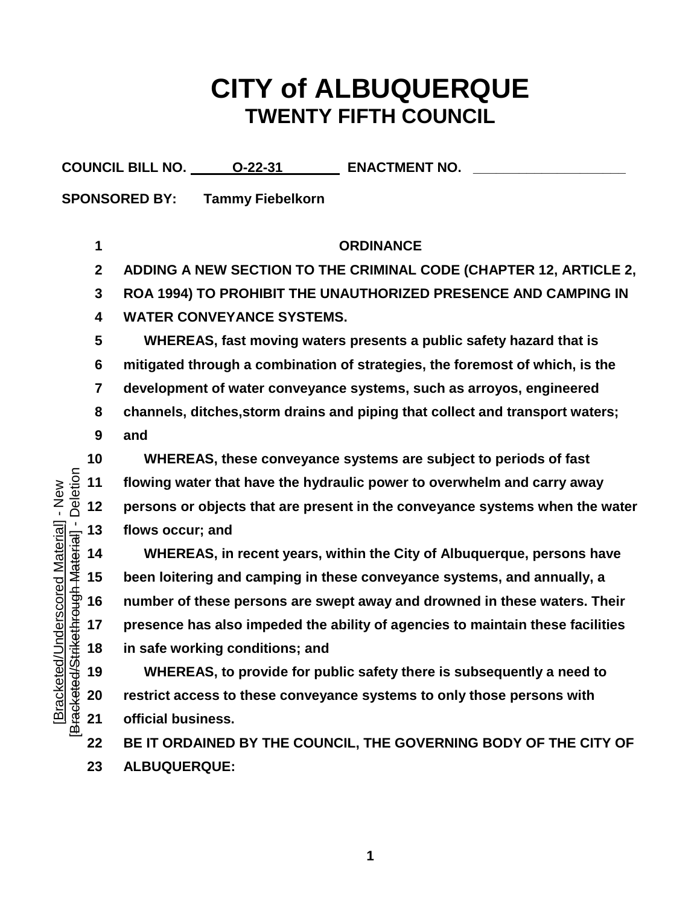## **CITY of ALBUQUERQUE TWENTY FIFTH COUNCIL**

| <b>COUNCIL BILL NO.</b> | 0-22-31 | <b>ENACTMENT NO.</b> |  |
|-------------------------|---------|----------------------|--|
|-------------------------|---------|----------------------|--|

**SPONSORED BY: Tammy Fiebelkorn**

[Bracketed/Underscored Material] - New [Bracketed/Strikethrough Material] - Deletion

Bracketed/Underscored Material] - New

Deletion

 **ORDINANCE ADDING A NEW SECTION TO THE CRIMINAL CODE (CHAPTER 12, ARTICLE 2, ROA 1994) TO PROHIBIT THE UNAUTHORIZED PRESENCE AND CAMPING IN WATER CONVEYANCE SYSTEMS. WHEREAS, fast moving waters presents a public safety hazard that is mitigated through a combination of strategies, the foremost of which, is the development of water conveyance systems, such as arroyos, engineered channels, ditches,storm drains and piping that collect and transport waters; and WHEREAS, these conveyance systems are subject to periods of fast flowing water that have the hydraulic power to overwhelm and carry away persons or objects that are present in the conveyance systems when the water WHEREAS, in recent years, within the City of Albuquerque, persons have** 

**flows occur; and**<br>
14 **WHEREAS, in**<br>
15 **been loitering and**<br>
15 **been loitering and**<br>
17 **presence has als**<br>
17 **presence has als**<br>
18 **in safe working c**<br>
19 **WHEREAS, to**<br>
19 **WHEREAS, to**<br>
19 **20** restrict access t **been loitering and camping in these conveyance systems, and annually, a number of these persons are swept away and drowned in these waters. Their presence has also impeded the ability of agencies to maintain these facilities in safe working conditions; and** 

 **WHEREAS, to provide for public safety there is subsequently a need to restrict access to these conveyance systems to only those persons with official business.**

 **BE IT ORDAINED BY THE COUNCIL, THE GOVERNING BODY OF THE CITY OF ALBUQUERQUE:**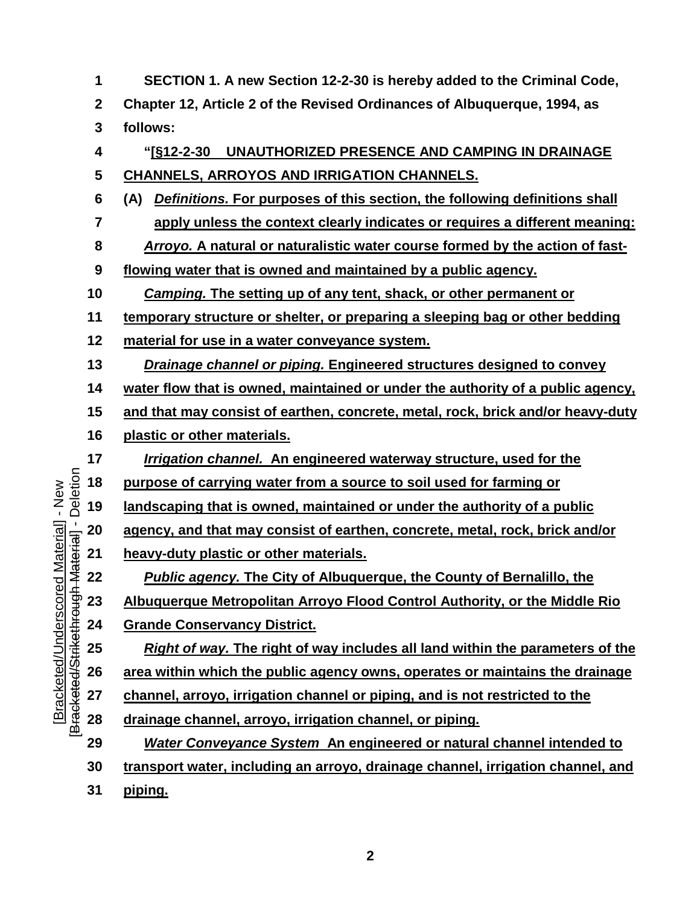**SECTION 1. A new Section 12-2-30 is hereby added to the Criminal Code, Chapter 12, Article 2 of the Revised Ordinances of Albuquerque, 1994, as follows: "[§12-2-30 UNAUTHORIZED PRESENCE AND CAMPING IN DRAINAGE CHANNELS, ARROYOS AND IRRIGATION CHANNELS. (A)** *Definitions.* **For purposes of this section, the following definitions shall apply unless the context clearly indicates or requires a different meaning:** *Arroyo.* **A natural or naturalistic water course formed by the action of fast- flowing water that is owned and maintained by a public agency.** *Camping.* **The setting up of any tent, shack, or other permanent or temporary structure or shelter, or preparing a sleeping bag or other bedding material for use in a water conveyance system.** *Drainage channel or piping.* **Engineered structures designed to convey water flow that is owned, maintained or under the authority of a public agency, and that may consist of earthen, concrete, metal, rock, brick and/or heavy-duty plastic or other materials.** *Irrigation channel.* **An engineered waterway structure, used for the**  Deletion [Bracketed/Strikethrough Material] - Deletion **purpose of carrying water from a source to soil used for farming or landscaping that is owned, maintained or under the authority of a public agency, and that may consist of earthen, concrete, metal, rock, brick and/or**<br> **21 heavy-duty plastic or other materials.**<br> **22** *Public agency.* The City of Albuquerque, the County of Bernalillo, the<br>
42<br> **23 Al heavy-duty plastic or other materials.**  *Public agency.* **The City of Albuquerque, the County of Bernalillo, the Albuquerque Metropolitan Arroyo Flood Control Authority, or the Middle Rio Grande Conservancy District.** *Right of way.* **The right of way includes all land within the parameters of the area within which the public agency owns, operates or maintains the drainage channel, arroyo, irrigation channel or piping, and is not restricted to the drainage channel, arroyo, irrigation channel, or piping.**  *Water Conveyance System* **An engineered or natural channel intended to transport water, including an arroyo, drainage channel, irrigation channel, and piping.**

[Bracketed/Underscored Material] - New

Bracketed/Underscored Material] - New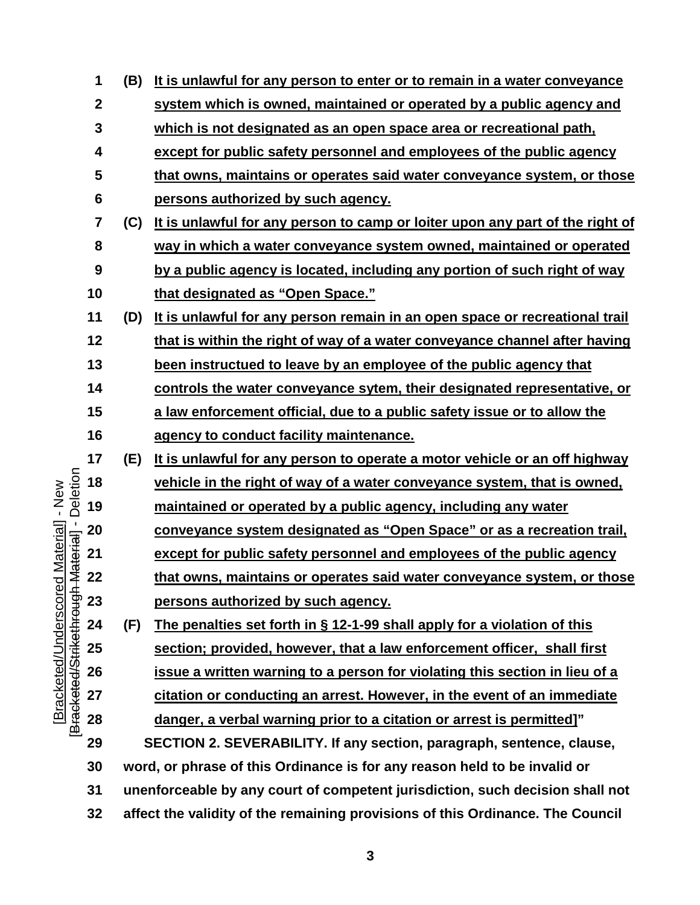|                                                 | 1                | (B)                                                                           | It is unlawful for any person to enter or to remain in a water conveyance      |  |
|-------------------------------------------------|------------------|-------------------------------------------------------------------------------|--------------------------------------------------------------------------------|--|
|                                                 | $\boldsymbol{2}$ |                                                                               | system which is owned, maintained or operated by a public agency and           |  |
|                                                 | $\mathbf{3}$     |                                                                               | which is not designated as an open space area or recreational path,            |  |
|                                                 | 4                |                                                                               | except for public safety personnel and employees of the public agency          |  |
|                                                 | 5                |                                                                               | that owns, maintains or operates said water conveyance system, or those        |  |
|                                                 | 6                |                                                                               | persons authorized by such agency.                                             |  |
|                                                 | 7                | (C)                                                                           | It is unlawful for any person to camp or loiter upon any part of the right of  |  |
|                                                 | 8                |                                                                               | way in which a water conveyance system owned, maintained or operated           |  |
|                                                 | 9                |                                                                               | by a public agency is located, including any portion of such right of way      |  |
|                                                 | 10               |                                                                               | that designated as "Open Space."                                               |  |
|                                                 | 11               | (D)                                                                           | It is unlawful for any person remain in an open space or recreational trail    |  |
|                                                 | 12               |                                                                               | that is within the right of way of a water conveyance channel after having     |  |
|                                                 | 13               |                                                                               | been instructued to leave by an employee of the public agency that             |  |
|                                                 | 14               |                                                                               | controls the water conveyance sytem, their designated representative, or       |  |
|                                                 | 15               |                                                                               | a law enforcement official, due to a public safety issue or to allow the       |  |
|                                                 | 16               |                                                                               | agency to conduct facility maintenance.                                        |  |
|                                                 | 17               | (E)                                                                           | It is unlawful for any person to operate a motor vehicle or an off highway     |  |
| Deletion                                        | 18               |                                                                               | vehicle in the right of way of a water conveyance system, that is owned,       |  |
| $-$ New                                         | 19               |                                                                               | maintained or operated by a public agency, including any water                 |  |
| d Material]<br>- Material]<br>-                 | 20               |                                                                               | conveyance system designated as "Open Space" or as a recreation trail,         |  |
|                                                 | 21               |                                                                               | except for public safety personnel and employees of the public agency          |  |
|                                                 | 22               |                                                                               | that owns, maintains or operates said water conveyance system, or those        |  |
| Bracketed/Underscore<br>Bracketed/Strikethrough | 23               |                                                                               | persons authorized by such agency.                                             |  |
|                                                 | 24               | (F)                                                                           | The penalties set forth in $\S$ 12-1-99 shall apply for a violation of this    |  |
|                                                 | 25               |                                                                               | section; provided, however, that a law enforcement officer, shall first        |  |
|                                                 | 26               |                                                                               | issue a written warning to a person for violating this section in lieu of a    |  |
|                                                 | 27               |                                                                               | citation or conducting an arrest. However, in the event of an immediate        |  |
|                                                 | 28               |                                                                               | danger, a verbal warning prior to a citation or arrest is permitted]"          |  |
|                                                 | 29               |                                                                               | SECTION 2. SEVERABILITY. If any section, paragraph, sentence, clause,          |  |
|                                                 | 30               |                                                                               | word, or phrase of this Ordinance is for any reason held to be invalid or      |  |
|                                                 | 31               | unenforceable by any court of competent jurisdiction, such decision shall not |                                                                                |  |
|                                                 | 32               |                                                                               | affect the validity of the remaining provisions of this Ordinance. The Council |  |